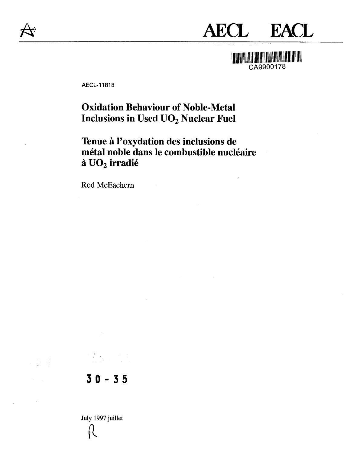

# **AECL EACL**

**MARITAN CA9900178** 

AECL-11818

## **Oxidation Behaviour of Noble-Metal Inclusions in Used UO2 Nuclear Fuel**

Tenue à l'oxydation des inclusions de **metal noble dans le combustible nucleaire a UO2 irradie**

Rod McEachern

**30-3 5**

 $\mathcal{O}_{\mathcal{X}}$  ,  $\mathcal{P}_{\mathcal{X}}$ 

July 1997 juillet11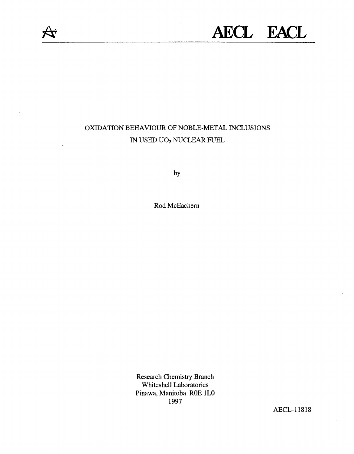

## **AECL EACL**

## OXIDATION BEHAVIOUR OF NOBLE-METAL INCLUSIONS IN USED UO2 NUCLEAR FUEL

by

Rod McEachern

Research Chemistry Branch Whiteshell Laboratories Pinawa, Manitoba ROE 1L0 1997

AECL-11818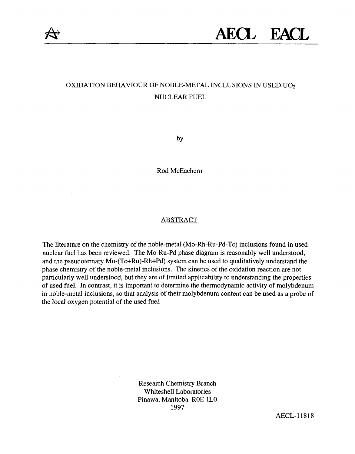

## OXIDATION BEHAVIOUR OF NOBLE-METAL INCLUSIONS IN USED UO<sup>2</sup> NUCLEAR FUEL

by

Rod McEachern

#### ABSTRACT

The literature on the chemistry of the noble-metal (Mo-Rh-Ru-Pd-Tc) inclusions found in used nuclear fuel has been reviewed. The Mo-Ru-Pd phase diagram is reasonably well understood, and the pseudoternary Mo-(Tc+Ru)-Rh+Pd) system can be used to qualitatively understand the phase chemistry of the noble-metal inclusions. The kinetics of the oxidation reaction are not particularly well understood, but they are of limited applicability to understanding the properties of used fuel. In contrast, it is important to determine the thermodynamic activity of molybdenum in noble-metal inclusions, so that analysis of their molybdenum content can be used as a probe of the local oxygen potential of the used fuel.

> Research Chemistry Branch Whiteshell Laboratories Pinawa, Manitoba ROE 1L0 1997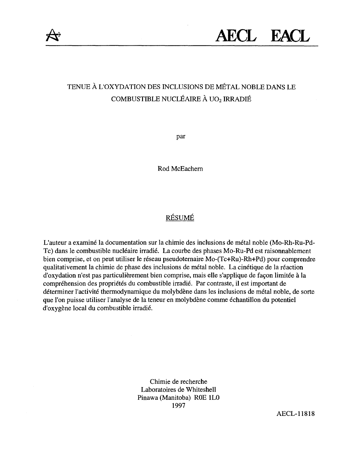

## TENUE A LOXYDATION DES INCLUSIONS DE METAL NOBLE DANS LE COMBUSTIBLE NUCLÉAIRE À UO<sub>2</sub> IRRADIÉ

par

Rod McEachern

### RESUME

L'auteur a examine la documentation sur la chimie des inclusions de metal noble (Mo-Rh-Ru-Pd-Tc) dans le combustible nucléaire irradié. La courbe des phases Mo-Ru-Pd est raisonnablement bien comprise, et on peut utiliser le réseau pseudoternaire Mo-(Tc+Ru)-Rh+Pd) pour comprendre qualitativement la chimie de phase des inclusions de metal noble. La cinetique de la reaction d'oxydation n'est pas particulièrement bien comprise, mais elle s'applique de façon limitée à la compréhension des propriétés du combustible irradié. Par contraste, il est important de déterminer l'activité thermodynamique du molybdène dans les inclusions de métal noble, de sorte que l'on puisse utiliser l'analyse de la teneur en molybdène comme échantillon du potentiel d'oxygene local du combustible irradie.

> Chimie de recherche Laboratoires de Whiteshell Pinawa (Manitoba) ROE 1L0 1997

> > AECL-11818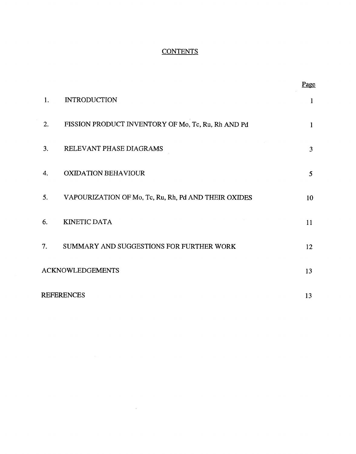#### **CONTENTS**

|                         |                                                      | Page           |
|-------------------------|------------------------------------------------------|----------------|
| 1.                      | <b>INTRODUCTION</b>                                  | 1              |
| 2.                      | FISSION PRODUCT INVENTORY OF Mo, Tc, Ru, Rh AND Pd   | $\mathbf{1}$   |
| 3.                      | RELEVANT PHASE DIAGRAMS                              | 3              |
| 4.                      | <b>OXIDATION BEHAVIOUR</b>                           | $\mathfrak{S}$ |
| 5.                      | VAPOURIZATION OF Mo, Tc, Ru, Rh, Pd AND THEIR OXIDES | 10             |
| 6.                      | <b>KINETIC DATA</b>                                  | 11             |
| 7.                      | SUMMARY AND SUGGESTIONS FOR FURTHER WORK             | 12             |
| <b>ACKNOWLEDGEMENTS</b> |                                                      | 13             |
| <b>REFERENCES</b>       |                                                      |                |

 $\mathcal{L}^{\text{max}}_{\text{max}}$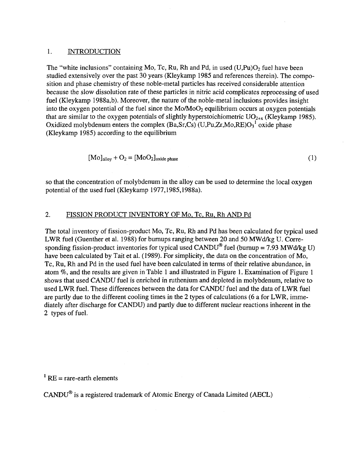#### 1. INTRODUCTION

The "white inclusions" containing Mo, Tc, Ru, Rh and Pd, in used  $(U.Pu)O<sub>2</sub>$  fuel have been studied extensively over the past 30 years (Kleykamp 1985 and references therein). The composition and phase chemistry of these noble-metal particles has received considerable attention because the slow dissolution rate of these particles in nitric acid complicates reprocessing of used fuel (Kleykamp 1988a,b). Moreover, the nature of the noble-metal inclusions provides insight into the oxygen potential of the fuel since the  $Mo/MoO<sub>2</sub>$  equilibrium occurs at oxygen potentials that are similar to the oxygen potentials of slightly hyperstoichiometric  $UO_{2+x}$  (Kleykamp 1985). Oxidized molybdenum enters the complex  $(Ba, Sr, Cs)$  (U,Pu,Zr,Mo,RE) $O<sub>3</sub><sup>1</sup>$  oxide phase (Kleykamp 1985) according to the equilibrium

$$
[Mo]allow + O2 = [MoO2]oxide phase
$$
 (1)

so that the concentration of molybdenum in the alloy can be used to determine the local oxygen potential of the used fuel (Kleykamp 1977,1985,1988a).

#### 2. FISSION PRODUCT INVENTORY OF Mo, Tc, Ru. Rh AND Pd

The total inventory of fission-product Mo, Tc, Ru, Rh and Pd has been calculated for typical used LWR fuel (Guenther et al. 1988) for burnups ranging between 20 and 50 MWd/kg U. Corresponding fission-product inventories for typical used  $CANDU^{\circ}$  fuel (burnup = 7.93 MWd/kg U) have been calculated by Tait et al. (1989). For simplicity, the data on the concentration of Mo, Tc, Ru, Rh and Pd in the used fuel have been calculated in terms of their relative abundance, in atom *%,* and the results are given in Table 1 and illustrated in Figure 1. Examination of Figure 1 shows that used CANDU fuel is enriched in ruthenium and depleted in molybdenum, relative to used LWR fuel. These differences between the data for CANDU fuel and the data of LWR fuel are partly due to the different cooling times in the 2 types of calculations (6 a for LWR, immediately after discharge for CANDU) and partly due to different nuclear reactions inherent in the 2 types of fuel.

 $<sup>1</sup> RE = rare-centh elements$ </sup>

CANDU® is a registered trademark of Atomic Energy of Canada Limited (AECL)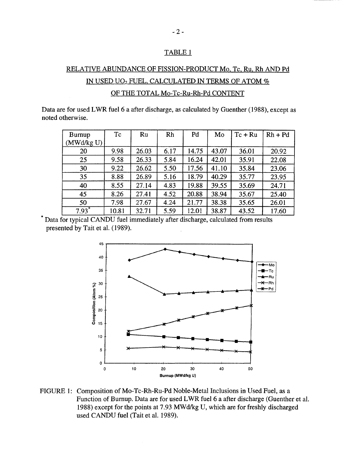#### TABLE1

## RELATIVE ABUNDANCE OF FISSION-PRODUCT Mo. Tc, Ru, Rh AND Pd IN USED UO<sub>2</sub> FUEL, CALCULATED IN TERMS OF ATOM % OF THE TOTAL Mo-Tc-Ru-Rh-Pd CONTENT

Data are for used LWR fuel 6 a after discharge, as calculated by Guenther (1988), except as noted otherwise.

| Burnup<br>(MWd/kg U) | Tc    | Ru    | Rh   | Pd    | Mo    | $Tc + Ru$ | $Rh + Pd$ |
|----------------------|-------|-------|------|-------|-------|-----------|-----------|
|                      |       |       |      |       |       |           |           |
| 20                   | 9.98  | 26.03 | 6.17 | 14.75 | 43.07 | 36.01     | 20.92     |
| 25                   | 9.58  | 26.33 | 5.84 | 16.24 | 42.01 | 35.91     | 22.08     |
| 30                   | 9.22  | 26.62 | 5.50 | 17.56 | 41.10 | 35.84     | 23.06     |
| 35                   | 8.88  | 26.89 | 5.16 | 18.79 | 40.29 | 35.77     | 23.95     |
| 40                   | 8.55  | 27.14 | 4.83 | 19.88 | 39.55 | 35.69     | 24.71     |
| 45                   | 8.26  | 27.41 | 4.52 | 20.88 | 38.94 | 35.67     | 25.40     |
| 50                   | 7.98  | 27.67 | 4.24 | 21.77 | 38.38 | 35.65     | 26.01     |
| $7.93*$              | 10.81 | 32.71 | 5.59 | 12.01 | 38.87 | 43.52     | 17.60     |

Data for typical CANDU fuel immediately after discharge, calculated from results presented by Tait et al. (1989).



FIGURE 1: Composition of Mo-Tc-Rh-Ru-Pd Noble-Metal Inclusions in Used Fuel, as a Function of Burnup. Data are for used LWR fuel 6 a after discharge (Guenther et al. 1988) except for the points at 7.93 MWd/kg U, which are for freshly discharged used CANDU fuel (Tait et al. 1989).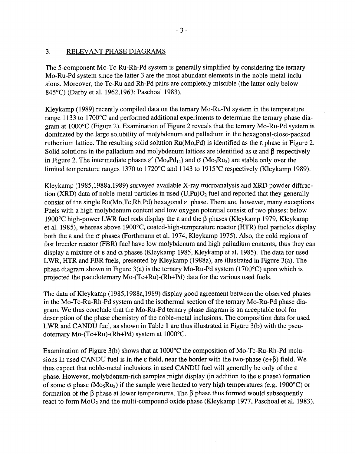#### 3. RELEVANT PHASE DIAGRAMS

The 5-component Mo-Tc-Ru-Rh-Pd system is generally simplified by considering the ternary Mo-Ru-Pd system since the latter 3 are the most abundant elements in the noble-metal inclusions. Moreover, the Tc-Ru and Rh-Pd pairs are completely miscible (the latter only below 845°C) (Darby et al. 1962,1963; Paschoal 1983).

Kleykamp (1989) recently compiled data on the ternary Mo-Ru-Pd system in the temperature range 1133 to 1700°C and performed additional experiments to determine the ternary phase diagram at 1000°C (Figure 2). Examination of Figure 2 reveals that the ternary Mo-Ru-Pd system is dominated by the large solubility of molybdenum and palladium in the hexagonal-close-packed ruthenium lattice. The resulting solid solution Ru(Mo,Pd) is identified as the e phase in Figure 2. Solid solutions in the palladium and molybdenum lattices are identified as  $\alpha$  and  $\beta$  respectively in Figure 2. The intermediate phases  $\varepsilon'$  (Mo<sub>9</sub>Pd<sub>11</sub>) and  $\sigma$  (Mo<sub>5</sub>Ru<sub>3</sub>) are stable only over the limited temperature ranges 1370 to 1720°C and 1143 to 1915°C respectively (Kleykamp 1989).

Kleykamp (1985,1988a,1989) surveyed available X-ray microanalysis and XRD powder diffraction (XRD) data of noble-metal particles in used  $(U,Pu)O<sub>2</sub>$  fuel and reported that they generally consist of the single  $Ru(Mo, Tc, Rh, Pd)$  hexagonal  $\varepsilon$  phase. There are, however, many exceptions. Fuels with a high molybdenum content and low oxygen potential consist of two phases: below 1900 $^{\circ}$ C high-power LWR fuel rods display the  $\varepsilon$  and the  $\beta$  phases (Kleykamp 1979, Kleykamp et al. 1985), whereas above 1900°C, coated-high-temperature reactor (HTR) fuel particles display both the e and the *a* phases (Forthmann et al. 1974, Kleykamp 1975). Also, the cold regions of fast breeder reactor (FBR) fuel have low molybdenum and high palladium contents; thus they can display a mixture of  $\varepsilon$  and  $\alpha$  phases (Kleykamp 1985, Kleykamp et al. 1985). The data for used LWR, HTR and FBR fuels, presented by Kleykamp (1988a), are illustrated in Figure 3(a). The phase diagram shown in Figure 3(a) is the ternary Mo-Ru-Pd system (1700 $^{\circ}$ C) upon which is projected the pseudoternary Mo-(Tc+Ru)-(Rh+Pd) data for the various used fuels.

The data of Kleykamp (1985,1988a, 1989) display good agreement between the observed phases in the Mo-Tc-Ru-Rh-Pd system and the isothermal section of the ternary Mo-Ru-Pd phase diagram. We thus conclude that the Mo-Ru-Pd ternary phase diagram is an acceptable tool for description of the phase chemistry of the noble-metal inclusions. The composition data for used LWR and CANDU fuel, as shown in Table 1 are thus illustrated in Figure 3(b) with the pseudoternary Mo-(Tc+Ru)-(Rh+Pd) system at 1000°C.

Examination of Figure 3(b) shows that at 1000°C the composition of Mo-Tc-Ru-Rh-Pd inclusions in used CANDU fuel is in the  $\epsilon$  field, near the border with the two-phase ( $\epsilon$ + $\beta$ ) field. We thus expect that noble-metal inclusions in used CANDU fuel will generally be only of the  $\epsilon$ phase. However, molybdenum-rich samples might display (in addition to the e phase) formation of some  $\sigma$  phase (Mo<sub>5</sub>Ru<sub>3</sub>) if the sample were heated to very high temperatures (e.g. 1900<sup>o</sup>C) or formation of the  $\beta$  phase at lower temperatures. The  $\beta$  phase thus formed would subsequently react to form  $MoO<sub>2</sub>$  and the multi-compound oxide phase (Kleykamp 1977, Paschoal et al. 1983).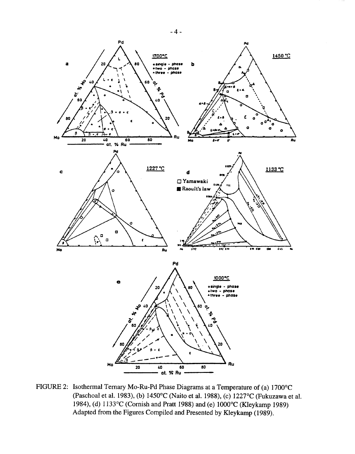

FIGURE 2: Isothermal Ternary Mo-Ru-Pd Phase Diagrams at a Temperature of (a) 1700°C (Paschoal et al. 1983), (b) 1450°C (Naito et al. 1988), (c) 1227°C (Fukuzawa et al. 1984), (d) 1133°C (Cornish and Pratt 1988) and (e) 1000°C (Kleykamp 1989) Adapted from the Figures Compiled and Presented by Kleykamp (1989).

**- 4 -**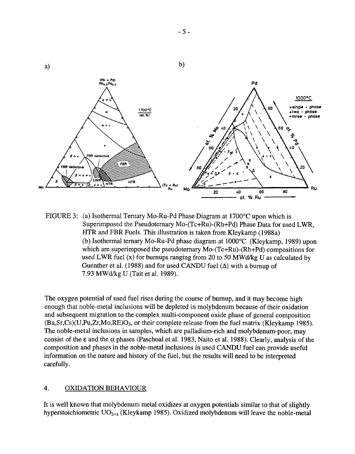

FIGURE 3: (a) Isothermal Ternary Mo-Ru-Pd Phase Diagram at 1700°C upon which is Superimposed the Pseudoternary Mo-(Tc+Ru)-(Rh+Pd) Phase Data for used LWR, HTR and FBR Fuels. This illustration is taken from Kleykamp (1988a) (b) Isothermal ternary Mo-Ru-Pd phase diagram at 1000°C (Kleykamp, 1989) upon which are superimposed the pseudoternary Mo-(Tc+Ru)-(Rh+Pd) compositions for used LWR fuel  $(x)$  for burnups ranging from 20 to 50 MWd/kg U as calculated by Guenther et al. (1988) and for used CANDU fuel  $(\Delta)$  with a burnup of 7.93 MWd/kg U (Tait et al. 1989).

The oxygen potential of used fuel rises during the course of burnup, and it may become high enough that noble-metal inclusions will be depleted in molybdenum because of their oxidation and subsequent migration to the complex multi-component oxide phase of general composition (Ba,Sr,Cs)(U,Pu,Zr,Mo,RE)C>3, or their complete release from the fuel matrix (Kleykamp 1985). The noble-metal inclusions in samples, which are palladium-rich and molybdenum-poor, may consist of the  $\epsilon$  and the  $\alpha$  phases (Paschoal et al. 1983, Naito et al. 1988). Clearly, analysis of the composition and phases in the noble-metal inclusions in used CANDU fuel can provide useful information on the nature and history of the fuel, but the results will need to be interpreted carefully.

#### **4.** OXIDATION BEHAVIOUR

It is well known that molybdenum metal oxidizes at oxygen potentials similar to that of slightly hyperstoichiometric  $UO_{2+x}$  (Kleykamp 1985). Oxidized molybdenum will leave the noble-metal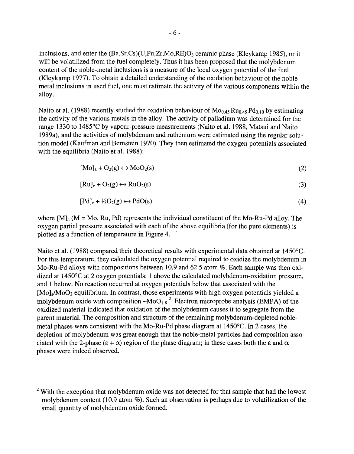inclusions, and enter the  $(Ba, Sr, Cs)(U, Pu, Zr, Mo, RE)O<sub>3</sub>$  ceramic phase (Kleykamp 1985), or it will be volatilized from the fuel completely. Thus it has been proposed that the molybdenum content of the noble-metal inclusions is a measure of the local oxygen potential of the fuel (Kleykamp 1977). To obtain a detailed understanding of the oxidation behaviour of the noblemetal inclusions in used fuel, one must estimate the activity of the various components within the alloy.

Naito et al. (1988) recently studied the oxidation behaviour of  $M_0$  45 Ru<sub>0.45</sub> Pd<sub>0.10</sub> by estimating the activity of the various metals in the alloy. The activity of palladium was determined for the range 1330 to 1485°C by vapour-pressure measurements (Naito et al. 1988, Matsui and Naito 1989a), and the activities of molybdenum and ruthenium were estimated using the regular solution model (Kaufman and Bernstein 1970). They then estimated the oxygen potentials associated with the equilibria (Naito et al. 1988):

$$
[Mo]_{\epsilon} + O_2(g) \leftrightarrow MoO_2(s)
$$
 (2)

$$
[Ru]_{\varepsilon} + O_2(g) \leftrightarrow RuO_2(s)
$$
 (3)

$$
[Pd]_{\varepsilon} + \frac{1}{2}O_2(g) \leftrightarrow PdO(s) \tag{4}
$$

where  $[M]_{\epsilon}$  (M = Mo, Ru, Pd) represents the individual constituent of the Mo-Ru-Pd alloy. The oxygen partial pressure associated with each of the above equilibria (for the pure elements) is plotted as a function of temperature in Figure 4.

Naito et al. (1988) compared their theoretical results with experimental data obtained at 1450°C. For this temperature, they calculated the oxygen potential required to oxidize the molybdenum in Mo-Ru-Pd alloys with compositions between 10.9 and 62.5 atom %. Each sample was then oxidized at 1450°C at 2 oxygen potentials: 1 above the calculated molybdenum-oxidation pressure, and 1 below. No reaction occurred at oxygen potentials below that associated with the  $[Mo]_e/MoO_2$  equilibrium. In contrast, those experiments with high oxygen potentials yielded a molybdenum oxide with composition  $-M_0O_{1.8}^2$ . Electron microprobe analysis (EMPA) of the oxidized material indicated that oxidation of the molybdenum causes it to segregate from the parent material. The composition and structure of the remaining molybdenum-depleted noblemetal phases were consistent with the Mo-Ru-Pd phase diagram at 1450°C. In 2 cases, the depletion of molybdenum was great enough that the noble-metal particles had composition associated with the 2-phase ( $\epsilon + \alpha$ ) region of the phase diagram; in these cases both the  $\epsilon$  and  $\alpha$ phases were indeed observed.

 $2$  With the exception that molybdenum oxide was not detected for that sample that had the lowest molybdenum content (10.9 atom %). Such an observation is perhaps due to volatilization of the small quantity of molybdenum oxide formed.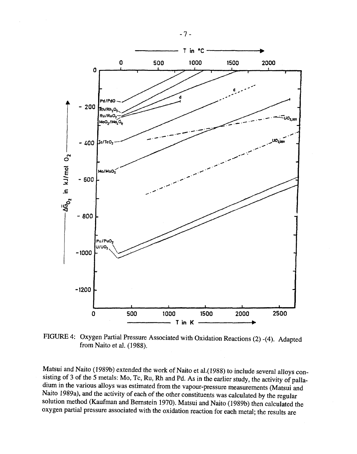

FIGURE 4: Oxygen Partial Pressure Associated with Oxidation Reactions (2) -(4). Adapted from Naito et al. (1988).

Matsui and Naito (1989b) extended the work of Naito et al.(1988) to include several alloys consisting of 3 of the 5 metals: Mo, Tc, Ru, Rh and Pd. As in the earlier study, the activity of palladium in the various alloys was estimated from the vapour-pressure measurements (Matsui and Naito 1989a), and the activity of each of the other constituents was calculated by the regular solution method (Kaufman and Bernstein 1970). Matsui and Naito (1989b) then calculated the oxygen partial pressure associated with the oxidation reaction for each metal; the results are

**- 7 -**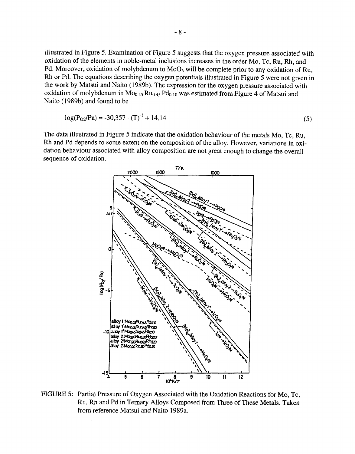illustrated in Figure 5. Examination of Figure 5 suggests that the oxygen pressure associated with oxidation of the elements in noble-metal inclusions increases in the order Mo, Tc, Ru, Rh, and Pd. Moreover, oxidation of molybdenum to  $MoO<sub>3</sub>$  will be complete prior to any oxidation of Ru, Rh or Pd. The equations describing the oxygen potentials illustrated in Figure 5 were not given in the work by Matsui and Naito (1989b). The expression for the oxygen pressure associated with oxidation of molybdenum in  $Mo_{0.45} Ru_{0.45} Pd_{0.10}$  was estimated from Figure 4 of Matsui and Naito (1989b) and found to be

$$
log(P02/Pa) = -30,357 \cdot (T)-1 + 14.14
$$
 (5)

The data illustrated in Figure 5 indicate that the oxidation behaviour of the metals Mo, Tc, Ru, Rh and Pd depends to some extent on the composition of the alloy. However, variations in oxidation behaviour associated with alloy composition are not great enough to change the overall sequence of oxidation.



FIGURE 5: Partial Pressure of Oxygen Associated with the Oxidation Reactions for Mo, Tc, Ru, Rh and Pd in Ternary Alloys Composed from Three of These Metals. Taken from reference Matsui and Naito 1989a.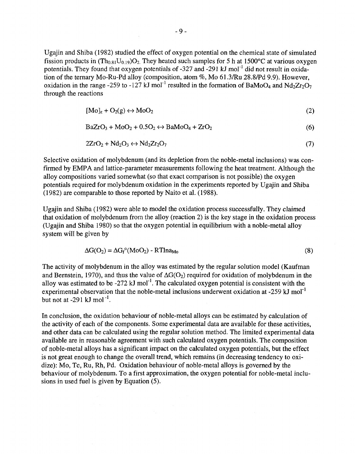Ugajin and Shiba (1982) studied the effect of oxygen potential on the chemical state of simulated fission products in  $(Th_{0.81}U_{0.19})O_2$ . They heated such samples for 5 h at 1500°C at various oxygen potentials. They found that oxygen potentials of -327 and -291 kJ mol<sup>-1</sup> did not result in oxidation of the ternary Mo-Ru-Pd alloy (composition, atom %, Mo 61.3/Ru 28.8/Pd 9.9). However, oxidation in the range -259 to -127 kJ mol<sup>-1</sup> resulted in the formation of BaMoO<sub>4</sub> and Nd<sub>2</sub>Zr<sub>2</sub>O<sub>7</sub> through the reactions

$$
[Mo]_{\varepsilon} + O_2(g) \leftrightarrow MoO_2 \tag{2}
$$

$$
BaZrO3 + MoO2 + 0.5O2 \leftrightarrow BaMoO4 + ZrO2
$$
 (6)

$$
2ZrO_2 + Nd_2O_3 \leftrightarrow Nd_2Zr_2O_7 \tag{7}
$$

Selective oxidation of molybdenum (and its depletion from the noble-metal inclusions) was confirmed by EMPA and lattice-parameter measurements following the heat treatment. Although the alloy compositions varied somewhat (so that exact comparison is not possible) the oxygen potentials required for molybdenum oxidation in the experiments reported by Ugajin and Shiba (1982) are comparable to those reported by Naito et al. (1988).

Ugajin and Shiba (1982) were able to model the oxidation process successfully. They claimed that oxidation of molybdenum from the alloy (reaction 2) is the key stage in the oxidation process (Ugajin and Shiba 1980) so that the oxygen potential in equilibrium with a noble-metal alloy system will be given by

$$
\Delta G(O_2) = \Delta G_f^{\circ} (MoO_2) - RTIna_{Mo}
$$
\n(8)

The activity of molybdenum in the alloy was estimated by the regular solution model (Kaufman and Bernstein, 1970), and thus the value of  $\Delta G(O_2)$  required for oxidation of molybdenum in the alloy was estimated to be -272 kJ mol<sup>-1</sup>. The calculated oxygen potential is consistent with the experimental observation that the noble-metal inclusions underwent oxidation at -259 kJ mol<sup>-1</sup> but not at  $-291$  kJ mol $^{-1}$ .

In conclusion, the oxidation behaviour of noble-metal alloys can be estimated by calculation of the activity of each of the components. Some experimental data are available for these activities, and other data can be calculated using the regular solution method. The limited experimental data available are in reasonable agreement with such calculated oxygen potentials. The composition of noble-metal alloys has a significant impact on the calculated oxygen potentials, but the effect is not great enough to change the overall trend, which remains (in decreasing tendency to oxidize): Mo, Tc, Ru, Rh, Pd. Oxidation behaviour of noble-metal alloys is governed by the behaviour of molybdenum. To a first approximation, the oxygen potential for noble-metal inclusions in used fuel is given by Equation (5).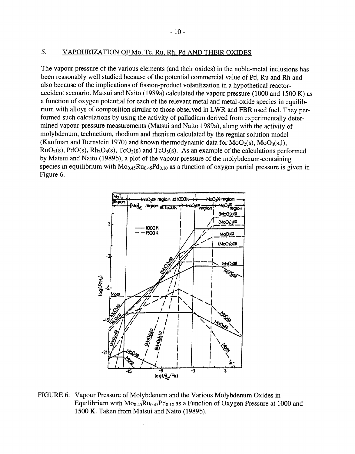#### 5. VAPOURIZATION OF Mo, Tc. Ru. Rh. Pd AND THEIR OXIDES

The vapour pressure of the various elements (and their oxides) in the noble-metal inclusions has been reasonably well studied because of the potential commercial value of Pd, Ru and Rh and also because of the implications of fission-product volatilization in a hypothetical reactoraccident scenario. Matsui and Naito (1989a) calculated the vapour pressure (1000 and 1500 K) as a function of oxygen potential for each of the relevant metal and metal-oxide species in equilibrium with alloys of composition similar to those observed in LWR and FBR used fuel. They performed such calculations by using the activity of palladium derived from experimentally determined vapour-pressure measurements (Matsui and Naito 1989a), along with the activity of molybdenum, technetium, rhodium and rhenium calculated by the regular solution model (Kaufman and Bernstein 1970) and known thermodynamic data for  $MoO<sub>2</sub>(s)$ ,  $MoO<sub>3</sub>(s,1)$ ,  $RuO<sub>2</sub>(s)$ ,  $PdO(s)$ ,  $Rh<sub>2</sub>O<sub>3</sub>(s)$ ,  $TcO<sub>2</sub>(s)$  and  $TcO<sub>3</sub>(s)$ . As an example of the calculations performed by Matsui and Naito (1989b), a plot of the vapour pressure of the molybdenum-containing species in equilibrium with  $Mo_{0.45}Ru_{0.45}Pd_{0.10}$  as a function of oxygen partial pressure is given in Figure 6.



FIGURE 6: Vapour Pressure of Molybdenum and the Various Molybdenum Oxides in Equilibrium with  $Mo_{0.45}Ru_{0.45}Pd_{0.10}$  as a Function of Oxygen Pressure at 1000 and 1500 K. Taken from Matsui and Naito (1989b).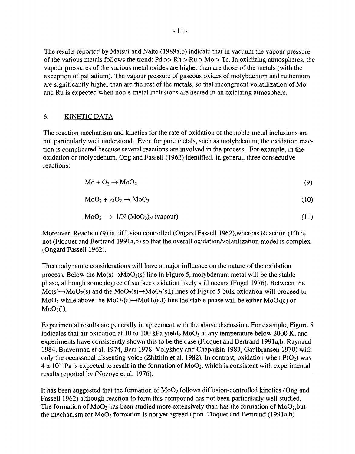The results reported by Matsui and Naito (1989a,b) indicate that in vacuum the vapour pressure of the various metals follows the trend:  $Pd \gg Rh \gg Ru \gg Mo \sim Tc$ . In oxidizing atmospheres, the vapour pressures of the various metal oxides are higher than are those of the metals (with the exception of palladium). The vapour pressure of gaseous oxides of molybdenum and ruthenium are significantly higher than are the rest of the metals, so that incongruent volatilization of Mo and Ru is expected when noble-metal inclusions are heated in an oxidizing atmosphere.

#### 6. KINETIC DATA

The reaction mechanism and kinetics for the rate of oxidation of the noble-metal inclusions are not particularly well understood. Even for pure metals, such as molybdenum, the oxidation reaction is complicated because several reactions are involved in the process. For example, in the oxidation of molybdenum, Ong and Fassell (1962) identified, in general, three consecutive reactions:

$$
Mo + O2 \rightarrow MoO2
$$
 (9)

$$
MoO2 + \frac{1}{2}O2 \rightarrow MoO3
$$
 (10)

$$
MoO3 \rightarrow 1/N (MoO3)N (vapour)
$$
 (11)

Moreover, Reaction (9) is diffusion controlled (Ongard Fassell 1962),whereas Reaction (10) is not (Floquet and Bertrand 1991a,b) so that the overall oxidation/volatilization model is complex (Ongard Fassell 1962).

Thermodynamic considerations will have a major influence on the nature of the oxidation process. Below the  $Mo(s) \rightarrow MoO_2(s)$  line in Figure 5, molybdenum metal will be the stable phase, although some degree of surface oxidation likely still occurs (Fogel 1976). Between the  $Mo(s) \rightarrow MoO_2(s)$  and the  $MoO_2(s) \rightarrow MoO_3(s, l)$  lines of Figure 5 bulk oxidation will proceed to MoO<sub>2</sub> while above the MoO<sub>2</sub>(s) $\rightarrow$ MoO<sub>3</sub>(s,l) line the stable phase will be either MoO<sub>3</sub>(s) or  $MoO<sub>3</sub>(1)$ .

Experimental results are generally in agreement with the above discussion. For example, Figure 5 indicates that air oxidation at 10 to 100 kPa yields  $MoO<sub>3</sub>$  at any temperature below 2000 K, and experiments have consistently shown this to be the case (Floquet and Bertrand 1991a,b, Raynaud 1984, Braverman et al. 1974, Barr 1978, Volykhov and Chapaikin 1983, Gaulbransen 1970) with only the occassonal dissenting voice (Zhizhin et al. 1982). In contrast, oxidation when  $P(O_2)$  was  $4 \times 10^{-5}$  Pa is expected to result in the formation of MoO<sub>2</sub>, which is consistent with experimental results reported by (Nozoye et al. 1976).

It has been suggested that the formation of  $MoO<sub>2</sub>$  follows diffusion-controlled kinetics (Ong and Fassell 1962) although reaction to form this compound has not been particularly well studied. The formation of  $MoO<sub>3</sub>$  has been studied more extensively than has the formation of  $MoO<sub>2</sub>$ , but the mechanism for  $MoO<sub>3</sub>$  formation is not yet agreed upon. Floquet and Bertrand (1991a,b)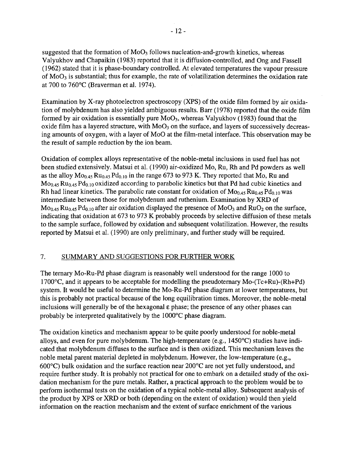suggested that the formation of  $MoO<sub>3</sub>$  follows nucleation-and-growth kinetics, whereas Valyukhov and Chapaikin (1983) reported that it is diffusion-controlled, and Ong and Fassell (1962) stated that it is phase-boundary controlled. At elevated temperatures the vapour pressure of  $MoO<sub>3</sub>$  is substantial; thus for example, the rate of volatilization determines the oxidation rate at 700 to 760°C (Braverman et al. 1974).

Examination by X-ray photoelectron spectroscopy (XPS) of the oxide film formed by air oxidation of molybdenum has also yielded ambiguous results. Barr (1978) reported that the oxide film formed by air oxidation is essentially pure  $MoO<sub>3</sub>$ , whereas Valyukhov (1983) found that the oxide film has a layered structure, with  $MoO<sub>3</sub>$  on the surface, and layers of successively decreasing amounts of oxygen, with a layer of MoO at the film-metal interface. This observation may be the result of sample reduction by the ion beam.

Oxidation of complex alloys representative of the noble-metal inclusions in used fuel has not been studied extensively. Matsui et al. (1990) air-oxidized Mo, Ru, Rh and Pd powders as well as the alloy  $Mo_{0.45}Ru_{0.45}Pd_{0.10}$  in the range 673 to 973 K. They reported that Mo, Ru and  $Mo<sub>0.45</sub> Ru<sub>0.45</sub> Pd<sub>0.10</sub> oxidized according to parabolic kinetics but that Pd had cubic kinetics and$ Rh had linear kinetics. The parabolic rate constant for oxidation of  $Mo_{0.45}Ru_{0.45}Pd_{0.10}$  was intermediate between those for molybdenum and ruthenium. Examination by XRD of  $Mo<sub>0.45</sub> Ru<sub>0.45</sub> Pd<sub>0.10</sub>$  after air oxidation displayed the presence of  $Mo<sub>3</sub>$  and  $RuO<sub>2</sub>$  on the surface, indicating that oxidation at 673 to 973 K probably proceeds by selective diffusion of these metals to the sample surface, followed by oxidation and subsequent volatilization. However, the results reported by Matsui et al. (1990) are only preliminary, and further study will be required.

#### 7. SUMMARY AND SUGGESTIONS FOR FURTHER WORK

The ternary Mo-Ru-Pd phase diagram is reasonably well understood for the range 1000 to 1700°C, and it appears to be acceptable for modelling the pseudoternary Mo-(Tc+Ru)-(Rh+Pd) system. It would be useful to determine the Mo-Ru-Pd phase diagram at lower temperatures, but this is probably not practical because of the long equilibration times. Moreover, the noble-metal inclusions will generally be of the hexagonal  $\varepsilon$  phase; the presence of any other phases can probably be interpreted qualitatively by the 1000°C phase diagram.

The oxidation kinetics and mechanism appear to be quite poorly understood for noble-metal alloys, and even for pure molybdenum. The high-temperature (e.g., 1450°C) studies have indicated that molybdenum diffuses to the surface and is then oxidized. This mechanism leaves the noble metal parent material depleted in molybdenum. However, the low-temperature (e.g., 600°C) bulk oxidation and the surface reaction near 200°C are not yet fully understood, and require further study. It is probably not practical for one to embark on a detailed study of the oxidation mechanism for the pure metals. Rather, a practical approach to the problem would be to perform isothermal tests on the oxidation of a typical noble-metal alloy. Subsequent analysis of the product by XPS or XRD or both (depending on the extent of oxidation) would then yield information on the reaction mechanism and the extent of surface enrichment of the various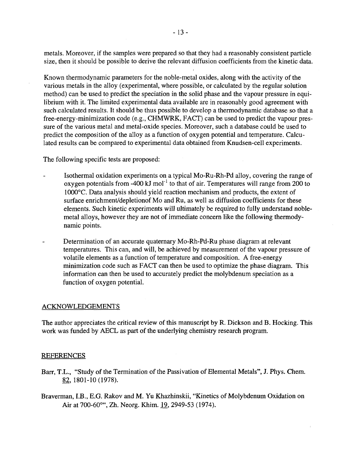metals. Moreover, if the samples were prepared so that they had a reasonably consistent particle size, then it should be possible to derive the relevant diffusion coefficients from the kinetic data.

Known thermodynamic parameters for the noble-metal oxides, along with the activity of the various metals in the alloy (experimental, where possible, or calculated by the regular solution method) can be used to predict the speciation in the solid phase and the vapour pressure in equilibrium with it. The limited experimental data available are in reasonably good agreement with such calculated results. It should be thus possible to develop a thermodynamic database so that a free-energy-minimization code (e.g., CHMWRK, FACT) can be used to predict the vapour pressure of the various metal and metal-oxide species. Moreover, such a database could be used to predict the composition of the alloy as a function of oxygen potential and temperature. Calculated results can be compared to experimental data obtained from Knudsen-cell experiments.

The following specific tests are proposed:

- Isothermal oxidation experiments on a typical Mo-Ru-Rh-Pd alloy, covering the range of oxygen potentials from -400 kJ mol $^{\text{-}1}$  to that of air. Temperatures will range from 200 to 1000°C. Data analysis should yield reaction mechanism and products, the extent of surface enrichment/depletionof Mo and Ru, as well as diffusion coefficients for these elements. Such kinetic experiments will ultimately be required to fully understand noblemetal alloys, however they are not of immediate concern like the following thermodynamic points.
- Determination of an accurate quaternary Mo-Rh-Pd-Ru phase diagram at relevant temperatures. This can, and will, be achieved by measurement of the vapour pressure of volatile elements as a function of temperature and composition. A free-energy minimization code such as FACT can then be used to optimize the phase diagram. This information can then be used to accurately predict the molybdenum speciation as a function of oxygen potential.

#### ACKNOWLEDGEMENTS

The author appreciates the critical review of this manuscript by R. Dickson and B. Hocking. This work was funded by AECL as part of the underlying chemistry research program.

#### REFERENCES

- Barr, T.L., "Study of the Termination of the Passivation of Elemental Metals", J. Phys. Chem. 82,1801-10(1978).
- Braverman, I.B., E.G. Rakov and M. Yu Khazhinskii, "Kinetics of Molybdenum Oxidation on Air at 700-60°", Zh. Neorg. Khim. 19,2949-53 (1974).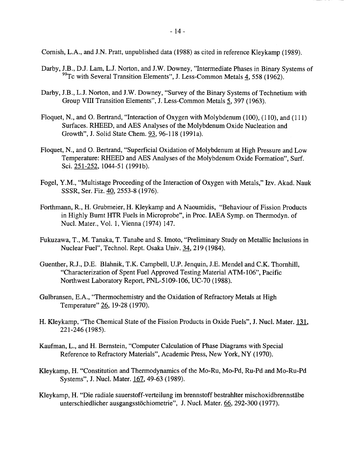Cornish, L.A., and J.N. Pratt, unpublished data (1988) as cited in reference Kleykamp (1989).

- Darby, J.B., D.J. Lam, L.J. Norton, and J.W. Downey, "Intermediate Phases in Binary Systems of 99Tc with Several Transition Elements", J. Less-Common Metals 4, 558 (1962).
- Darby, J.B., L.J. Norton, and J.W. Downey, "Survey of the Binary Systems of Technetium with Group VIII Transition Elements", J. Less-Common Metals 5, 397 (1963).
- Floquet, N., and O. Bertrand, "Interaction of Oxygen with Molybdenum (100), (110), and (111) Surfaces. RHEED, and AES Analyses of the Molybdenum Oxide Nucleation and Growth", J. Solid State Chem. 93, 96-118 (1991a).
- Floquet, N., and O. Bertrand, "Superficial Oxidation of Molybdenum at High Pressure and Low Temperature: RHEED and AES Analyses of the Molybdenum Oxide Formation", Surf. Sci. 251-252, 1044-51 (1991b).
- Fogel, Y.M., "Multistage Proceeding of the Interaction of Oxygen with Metals," Izv. Akad. Nauk SSSR, Ser. Fiz. 40, 2553-8 (1976).
- Forthmann, R., H. Grubmeier, H. Kleykamp and A Naoumidis, "Behaviour of Fission Products in Highly Burnt HTR Fuels in Microprobe", in Proc. IAEA Symp. on Thermodyn. of Nucl. Mater., Vol. 1, Vienna (1974) 147.
- Fukuzawa, T., M. Tanaka, T. Tanabe and S. Imoto, "Preliminary Study on Metallic Inclusions in Nuclear Fuel", Technol. Rept. Osaka Univ. 34, 219 (1984).
- Guenther, R.J., D.E. Blahnik, T.K. Campbell, U.P. Jenquin, J.E. Mendel and C.K. Thornhill, "Characterization of Spent Fuel Approved Testing Material ATM-106", Pacific Northwest Laboratory Report, PNL-5109-106, UC-70 (1988).
- Gulbransen, E.A., "Thermochemistry and the Oxidation of Refractory Metals at High Temperature" 26, 19-28 (1970).
- H. Kleykamp, "The Chemical State of the Fission Products in Oxide Fuels", J. Nucl. Mater. 131. 221-246(1985).
- Kaufman, L., and H. Bernstein, "Computer Calculation of Phase Diagrams with Special Reference to Refractory Materials", Academic Press, New York, NY (1970).
- Kleykamp, H. "Constitution and Thermodynamics of the Mo-Ru, Mo-Pd, Ru-Pd and Mo-Ru-Pd Systems", J. Nucl. Mater. J67, 49-63 (1989).
- Kleykamp, H. "Die radiale sauerstoff-verteilung im brennstoff bestrahlter mischoxidbrennstabe unterschiedlicher ausgangsstöchiometrie", J. Nucl. Mater. 66, 292-300 (1977).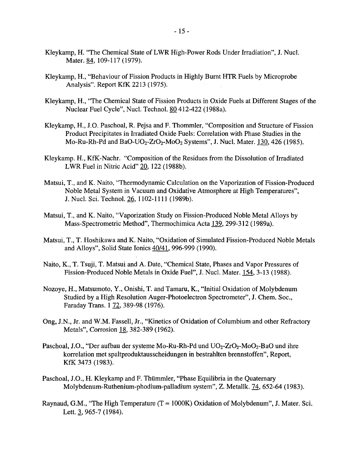- Kleykamp, H. "The Chemical State of LWR High-Power Rods Under Irradiation", J. Nucl. Mater. 84, 109-117 (1979).
- Kleykamp, H., "Behaviour of Fission Products in Highly Burnt HTR Fuels by Microprobe Analysis". Report KfK 2213 (1975).
- Kleykamp, H., "The Chemical State of Fission Products in Oxide Fuels at Different Stages of the Nuclear Fuel Cycle", Nucl. Technol. 80412-422 (1988a).
- Kleykamp, H., J.O. Paschoal, R. Pejsa and F. Thommler, "Composition and Structure of Fission Product Precipitates in Irradiated Oxide Fuels: Correlation with Phase Studies in the Mo-Ru-Rh-Pd and BaO-UO<sub>2</sub>-ZrO<sub>2</sub>-MoO<sub>2</sub> Systems", J. Nucl. Mater. 130, 426 (1985).
- Kleykamp. H., KfK-Nachr. "Composition of the Residues from the Dissolution of Irradiated LWR Fuel in Nitric Acid" 20, 122 (1988b).
- Matsui, T., and K. Naito, "Thermodynamic Calculation on the Vaporization of Fission-Produced Noble Metal System in Vacuum and Oxidative Atmosphere at High Temperatures", J. Nucl. Sci. Technol. 26, 1102-1111 (1989b).
- Matsui, T., and K. Naito, "Vaporization Study on Fission-Produced Noble Metal Alloys by Mass-Spectrometric Method", Thermochimica Acta 139, 299-312 (1989a).
- Matsui, T., T. Hoshikawa and K. Naito, "Oxidation of Simulated Fission-Produced Noble Metals and Alloys", Solid State Ionics 40/41, 996-999 (1990).
- Naito, K., T. Tsuji, T. Matsui and A. Date, "Chemical State, Phases and Vapor Pressures of Fission-Produced Noble Metals in Oxide Fuel", J. Nucl. Mater. 154, 3-13 (1988).
- Nozoye, H., Matsumoto, Y., Onishi, T. and Tamaru, K., "Initial Oxidation of Molybdenum Studied by a High Resolution Auger-Photoelectron Spectrometer", J. Chem. Soc, Faraday Trans. 1 72, 389-98 (1976).
- Ong, J.N., Jr. and W.M. Fassell, Jr., "Kinetics of Oxidation of Columbium and other Refractory Metals", Corrosion 18, 382-389 (1962).
- Paschoal, J.O., "Der aufbau der systeme Mo-Ru-Rh-Pd und  $UO_2$ - $ZrO_2$ -Mo $O_2$ -BaO und ihre korrelation met spaltproduktausscheidungen in bestrahlten brennstoffen", Report, KfK 3473 (1983).
- Paschoal, J.O., H. Kleykamp and F. Thümmler, "Phase Equilibria in the Quaternary Molybdenum-Ruthenium-phodium-palladium system", Z. Metallk. 74, 652-64 (1983).
- Raynaud, G.M., "The High Temperature (T *~* 1000K) Oxidation of Molybdenum", J. Mater. Sci. Lett. 3, 965-7 (1984).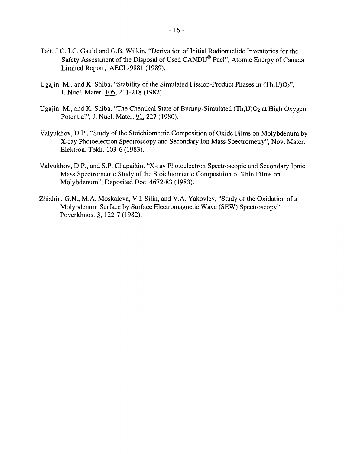- Tait, J.C. I.C. Gauld and G.B. Wilkin. "Derivation of Initial Radionuclide Inventories for the Safety Assessment of the Disposal of Used CANDU® Fuel", Atomic Energy of Canada Limited Report, AECL-9881 (1989).
- Ugajin, M., and K. Shiba, "Stability of the Simulated Fission-Product Phases in  $(Th, U)O<sub>2</sub>$ ", J. Nucl. Mater. 105, 211-218 (1982).
- Ugajin, M., and K. Shiba, "The Chemical State of Burnup-Simulated  $(Th, U)O<sub>2</sub>$  at High Oxygen Potential", J. Nucl. Mater. 91, 227 (1980).
- Valyukhov, D.P., "Study of the Stoichiometric Composition of Oxide Films on Molybdenum by X-ray Photoelectron Spectroscopy and Secondary Ion Mass Spectrometry", Nov. Mater. Elektron. Tekh. 103-6 (1983).
- Valyukhov, D.P., and S.P. Chapaikin. "X-ray Photoelectron Spectroscopic and Secondary Ionic Mass Spectrometric Study of the Stoichiometric Composition of Thin Films on Molybdenum", Deposited Doc. 4672-83 (1983).
- Zhizhin, G.N., M.A. Moskaleva, V.I. Silin, and V.A. Yakovlev, "Study of the Oxidation of a Molybdenum Surface by Surface Electromagnetic Wave (SEW) Spectroscopy", Poverkhnost 3, 122-7(1982).